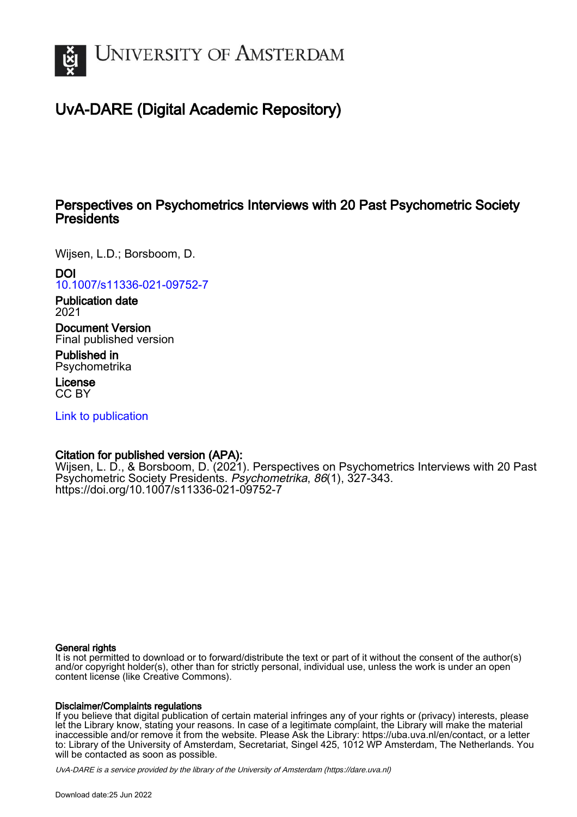

# UvA-DARE (Digital Academic Repository)

## Perspectives on Psychometrics Interviews with 20 Past Psychometric Society **Presidents**

Wijsen, L.D.; Borsboom, D.

DOI

[10.1007/s11336-021-09752-7](https://doi.org/10.1007/s11336-021-09752-7)

Publication date 2021

Document Version Final published version

Published in Psychometrika

License CC BY

[Link to publication](https://dare.uva.nl/personal/pure/en/publications/perspectives-on-psychometrics-interviews-with-20-past-psychometric-society-presidents(6f0734fe-af25-4cb8-9e5e-e8e25e4b7f93).html)

## Citation for published version (APA):

Wijsen, L. D., & Borsboom, D. (2021). Perspectives on Psychometrics Interviews with 20 Past Psychometric Society Presidents. Psychometrika, 86(1), 327-343. <https://doi.org/10.1007/s11336-021-09752-7>

### General rights

It is not permitted to download or to forward/distribute the text or part of it without the consent of the author(s) and/or copyright holder(s), other than for strictly personal, individual use, unless the work is under an open content license (like Creative Commons).

## Disclaimer/Complaints regulations

If you believe that digital publication of certain material infringes any of your rights or (privacy) interests, please let the Library know, stating your reasons. In case of a legitimate complaint, the Library will make the material inaccessible and/or remove it from the website. Please Ask the Library: https://uba.uva.nl/en/contact, or a letter to: Library of the University of Amsterdam, Secretariat, Singel 425, 1012 WP Amsterdam, The Netherlands. You will be contacted as soon as possible.

UvA-DARE is a service provided by the library of the University of Amsterdam (http*s*://dare.uva.nl)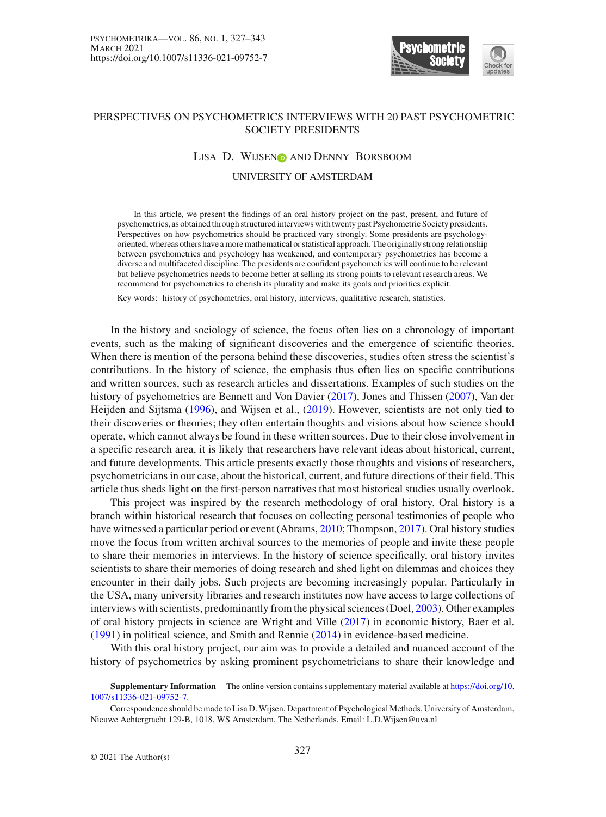

### PERSPECTIVES ON PSYCHOMETRICS INTERVIEWS WITH 20 PAST PSYCHOMETRIC SOCIETY PRESIDENTS

#### LISA D. WIJSEN<sub>ID</sub> AND DENNY BORSBOOM

#### UNIVERSITY OF AMSTERDAM

In this article, we present the findings of an oral history project on the past, present, and future of psychometrics, as obtained through structured interviews with twenty past Psychometric Society presidents. Perspectives on how psychometrics should be practiced vary strongly. Some presidents are psychologyoriented, whereas others have a more mathematical or statistical approach. The originally strong relationship between psychometrics and psychology has weakened, and contemporary psychometrics has become a diverse and multifaceted discipline. The presidents are confident psychometrics will continue to be relevant but believe psychometrics needs to become better at selling its strong points to relevant research areas. We recommend for psychometrics to cherish its plurality and make its goals and priorities explicit.

Key words: history of psychometrics, oral history, interviews, qualitative research, statistics.

In the history and sociology of science, the focus often lies on a chronology of important events, such as the making of significant discoveries and the emergence of scientific theories. When there is mention of the persona behind these discoveries, studies often stress the scientist's contributions. In the history of science, the emphasis thus often lies on specific contributions and written sources, such as research articles and dissertations. Examples of such studies on the history of psychometrics are Bennett and Von Davier [\(2017\)](#page-16-0), Jones and Thissen [\(2007\)](#page-17-0), Van der Heijden and Sijtsma [\(1996](#page-17-1)), and Wijsen et al., [\(2019\)](#page-17-2). However, scientists are not only tied to their discoveries or theories; they often entertain thoughts and visions about how science should operate, which cannot always be found in these written sources. Due to their close involvement in a specific research area, it is likely that researchers have relevant ideas about historical, current, and future developments. This article presents exactly those thoughts and visions of researchers, psychometricians in our case, about the historical, current, and future directions of their field. This article thus sheds light on the first-person narratives that most historical studies usually overlook.

This project was inspired by the research methodology of oral history. Oral history is a branch within historical research that focuses on collecting personal testimonies of people who have witnessed a particular period or event (Abrams, [2010;](#page-16-1) Thompson, [2017](#page-17-3)). Oral history studies move the focus from written archival sources to the memories of people and invite these people to share their memories in interviews. In the history of science specifically, oral history invites scientists to share their memories of doing research and shed light on dilemmas and choices they encounter in their daily jobs. Such projects are becoming increasingly popular. Particularly in the USA, many university libraries and research institutes now have access to large collections of interviews with scientists, predominantly from the physical sciences (Doel, [2003](#page-16-2)). Other examples of oral history projects in science are Wright and Ville [\(2017\)](#page-17-4) in economic history, Baer et al. [\(1991](#page-16-3)) in political science, and Smith and Rennie [\(2014\)](#page-17-5) in evidence-based medicine.

With this oral history project, our aim was to provide a detailed and nuanced account of the history of psychometrics by asking prominent psychometricians to share their knowledge and

**Supplementary Information** The online version contains supplementary material available at [https://doi.org/10.](https://doi.org/10.1007/s11336-021-09752-7) [1007/s11336-021-09752-7.](https://doi.org/10.1007/s11336-021-09752-7)

Correspondence should be made to Lisa D.Wijsen, Department of Psychological Methods, University of Amsterdam, Nieuwe Achtergracht 129-B, 1018, WS Amsterdam, The Netherlands. Email: L.D.Wijsen@uva.nl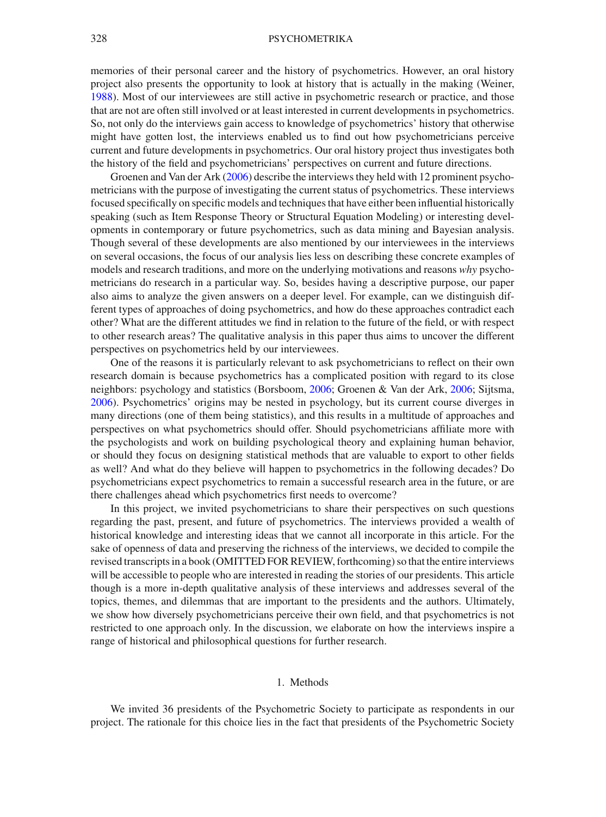memories of their personal career and the history of psychometrics. However, an oral history project also presents the opportunity to look at history that is actually in the making (Weiner, [1988\)](#page-17-6). Most of our interviewees are still active in psychometric research or practice, and those that are not are often still involved or at least interested in current developments in psychometrics. So, not only do the interviews gain access to knowledge of psychometrics' history that otherwise might have gotten lost, the interviews enabled us to find out how psychometricians perceive current and future developments in psychometrics. Our oral history project thus investigates both the history of the field and psychometricians' perspectives on current and future directions.

Groenen and Van der Ark [\(2006](#page-16-4)) describe the interviews they held with 12 prominent psychometricians with the purpose of investigating the current status of psychometrics. These interviews focused specifically on specific models and techniques that have either been influential historically speaking (such as Item Response Theory or Structural Equation Modeling) or interesting developments in contemporary or future psychometrics, such as data mining and Bayesian analysis. Though several of these developments are also mentioned by our interviewees in the interviews on several occasions, the focus of our analysis lies less on describing these concrete examples of models and research traditions, and more on the underlying motivations and reasons *why* psychometricians do research in a particular way. So, besides having a descriptive purpose, our paper also aims to analyze the given answers on a deeper level. For example, can we distinguish different types of approaches of doing psychometrics, and how do these approaches contradict each other? What are the different attitudes we find in relation to the future of the field, or with respect to other research areas? The qualitative analysis in this paper thus aims to uncover the different perspectives on psychometrics held by our interviewees.

One of the reasons it is particularly relevant to ask psychometricians to reflect on their own research domain is because psychometrics has a complicated position with regard to its close neighbors: psychology and statistics (Borsboom, [2006](#page-16-5); Groenen & Van der Ark, [2006;](#page-16-4) Sijtsma, [2006\)](#page-17-7). Psychometrics' origins may be nested in psychology, but its current course diverges in many directions (one of them being statistics), and this results in a multitude of approaches and perspectives on what psychometrics should offer. Should psychometricians affiliate more with the psychologists and work on building psychological theory and explaining human behavior, or should they focus on designing statistical methods that are valuable to export to other fields as well? And what do they believe will happen to psychometrics in the following decades? Do psychometricians expect psychometrics to remain a successful research area in the future, or are there challenges ahead which psychometrics first needs to overcome?

In this project, we invited psychometricians to share their perspectives on such questions regarding the past, present, and future of psychometrics. The interviews provided a wealth of historical knowledge and interesting ideas that we cannot all incorporate in this article. For the sake of openness of data and preserving the richness of the interviews, we decided to compile the revised transcripts in a book (OMITTED FOR REVIEW, forthcoming) so that the entire interviews will be accessible to people who are interested in reading the stories of our presidents. This article though is a more in-depth qualitative analysis of these interviews and addresses several of the topics, themes, and dilemmas that are important to the presidents and the authors. Ultimately, we show how diversely psychometricians perceive their own field, and that psychometrics is not restricted to one approach only. In the discussion, we elaborate on how the interviews inspire a range of historical and philosophical questions for further research.

#### 1. Methods

We invited 36 presidents of the Psychometric Society to participate as respondents in our project. The rationale for this choice lies in the fact that presidents of the Psychometric Society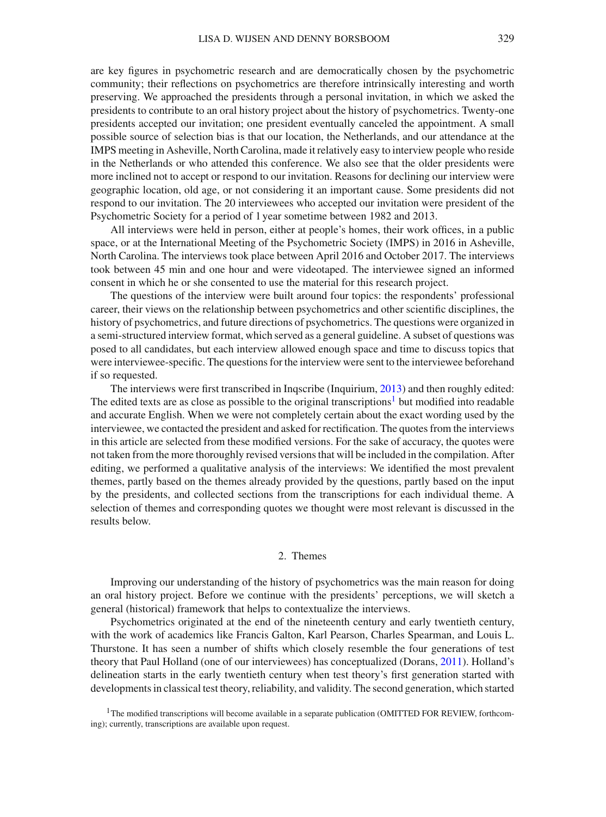are key figures in psychometric research and are democratically chosen by the psychometric community; their reflections on psychometrics are therefore intrinsically interesting and worth preserving. We approached the presidents through a personal invitation, in which we asked the presidents to contribute to an oral history project about the history of psychometrics. Twenty-one presidents accepted our invitation; one president eventually canceled the appointment. A small possible source of selection bias is that our location, the Netherlands, and our attendance at the IMPS meeting in Asheville, North Carolina, made it relatively easy to interview people who reside in the Netherlands or who attended this conference. We also see that the older presidents were more inclined not to accept or respond to our invitation. Reasons for declining our interview were geographic location, old age, or not considering it an important cause. Some presidents did not respond to our invitation. The 20 interviewees who accepted our invitation were president of the Psychometric Society for a period of 1 year sometime between 1982 and 2013.

All interviews were held in person, either at people's homes, their work offices, in a public space, or at the International Meeting of the Psychometric Society (IMPS) in 2016 in Asheville, North Carolina. The interviews took place between April 2016 and October 2017. The interviews took between 45 min and one hour and were videotaped. The interviewee signed an informed consent in which he or she consented to use the material for this research project.

The questions of the interview were built around four topics: the respondents' professional career, their views on the relationship between psychometrics and other scientific disciplines, the history of psychometrics, and future directions of psychometrics. The questions were organized in a semi-structured interview format, which served as a general guideline. A subset of questions was posed to all candidates, but each interview allowed enough space and time to discuss topics that were interviewee-specific. The questions for the interview were sent to the interviewee beforehand if so requested.

The interviews were first transcribed in Inqscribe (Inquirium, [2013](#page-16-6)) and then roughly edited: The edited texts are as close as possible to the original transcriptions<sup>[1](#page-3-0)</sup> but modified into readable and accurate English. When we were not completely certain about the exact wording used by the interviewee, we contacted the president and asked for rectification. The quotes from the interviews in this article are selected from these modified versions. For the sake of accuracy, the quotes were not taken from the more thoroughly revised versions that will be included in the compilation. After editing, we performed a qualitative analysis of the interviews: We identified the most prevalent themes, partly based on the themes already provided by the questions, partly based on the input by the presidents, and collected sections from the transcriptions for each individual theme. A selection of themes and corresponding quotes we thought were most relevant is discussed in the results below.

#### 2. Themes

Improving our understanding of the history of psychometrics was the main reason for doing an oral history project. Before we continue with the presidents' perceptions, we will sketch a general (historical) framework that helps to contextualize the interviews.

Psychometrics originated at the end of the nineteenth century and early twentieth century, with the work of academics like Francis Galton, Karl Pearson, Charles Spearman, and Louis L. Thurstone. It has seen a number of shifts which closely resemble the four generations of test theory that Paul Holland (one of our interviewees) has conceptualized (Dorans, [2011\)](#page-16-7). Holland's delineation starts in the early twentieth century when test theory's first generation started with developments in classical test theory, reliability, and validity. The second generation, which started

<span id="page-3-0"></span> $1$ The modified transcriptions will become available in a separate publication (OMITTED FOR REVIEW, forthcoming); currently, transcriptions are available upon request.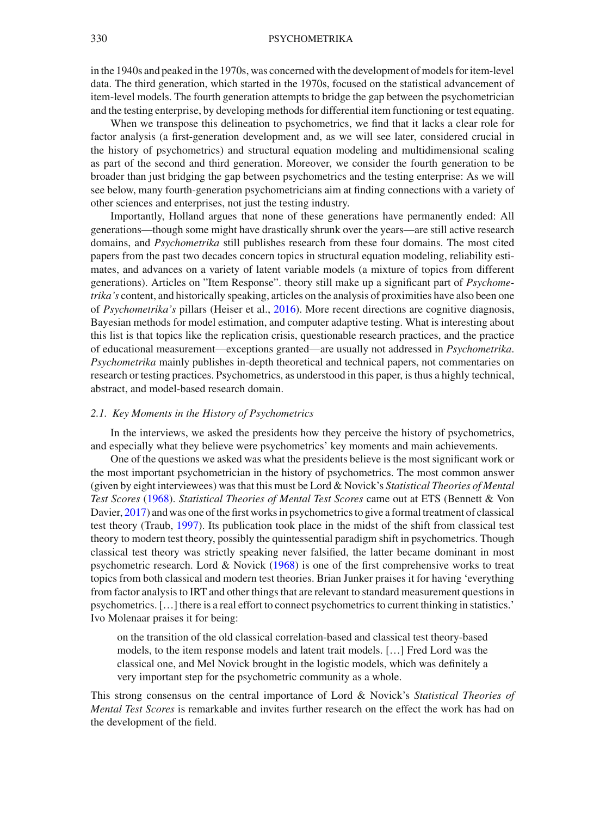in the 1940s and peaked in the 1970s, was concerned with the development of models for item-level data. The third generation, which started in the 1970s, focused on the statistical advancement of item-level models. The fourth generation attempts to bridge the gap between the psychometrician and the testing enterprise, by developing methods for differential item functioning or test equating.

When we transpose this delineation to psychometrics, we find that it lacks a clear role for factor analysis (a first-generation development and, as we will see later, considered crucial in the history of psychometrics) and structural equation modeling and multidimensional scaling as part of the second and third generation. Moreover, we consider the fourth generation to be broader than just bridging the gap between psychometrics and the testing enterprise: As we will see below, many fourth-generation psychometricians aim at finding connections with a variety of other sciences and enterprises, not just the testing industry.

Importantly, Holland argues that none of these generations have permanently ended: All generations—though some might have drastically shrunk over the years—are still active research domains, and *Psychometrika* still publishes research from these four domains. The most cited papers from the past two decades concern topics in structural equation modeling, reliability estimates, and advances on a variety of latent variable models (a mixture of topics from different generations). Articles on "Item Response". theory still make up a significant part of *Psychometrika's* content, and historically speaking, articles on the analysis of proximities have also been one of *Psychometrika's* pillars (Heiser et al., [2016](#page-16-8)). More recent directions are cognitive diagnosis, Bayesian methods for model estimation, and computer adaptive testing. What is interesting about this list is that topics like the replication crisis, questionable research practices, and the practice of educational measurement—exceptions granted—are usually not addressed in *Psychometrika*. *Psychometrika* mainly publishes in-depth theoretical and technical papers, not commentaries on research or testing practices. Psychometrics, as understood in this paper, is thus a highly technical, abstract, and model-based research domain.

#### *2.1. Key Moments in the History of Psychometrics*

In the interviews, we asked the presidents how they perceive the history of psychometrics, and especially what they believe were psychometrics' key moments and main achievements.

One of the questions we asked was what the presidents believe is the most significant work or the most important psychometrician in the history of psychometrics. The most common answer (given by eight interviewees) was that this must be Lord & Novick's *Statistical Theories of Mental Test Scores* [\(1968\)](#page-17-8). *Statistical Theories of Mental Test Scores* came out at ETS (Bennett & Von Davier, [2017](#page-16-0)) and was one of the first works in psychometrics to give a formal treatment of classical test theory (Traub, [1997](#page-17-9)). Its publication took place in the midst of the shift from classical test theory to modern test theory, possibly the quintessential paradigm shift in psychometrics. Though classical test theory was strictly speaking never falsified, the latter became dominant in most psychometric research. Lord  $\&$  Novick [\(1968](#page-17-8)) is one of the first comprehensive works to treat topics from both classical and modern test theories. Brian Junker praises it for having 'everything from factor analysis to IRT and other things that are relevant to standard measurement questions in psychometrics. […] there is a real effort to connect psychometrics to current thinking in statistics.' Ivo Molenaar praises it for being:

on the transition of the old classical correlation-based and classical test theory-based models, to the item response models and latent trait models. […] Fred Lord was the classical one, and Mel Novick brought in the logistic models, which was definitely a very important step for the psychometric community as a whole.

This strong consensus on the central importance of Lord & Novick's *Statistical Theories of Mental Test Scores* is remarkable and invites further research on the effect the work has had on the development of the field.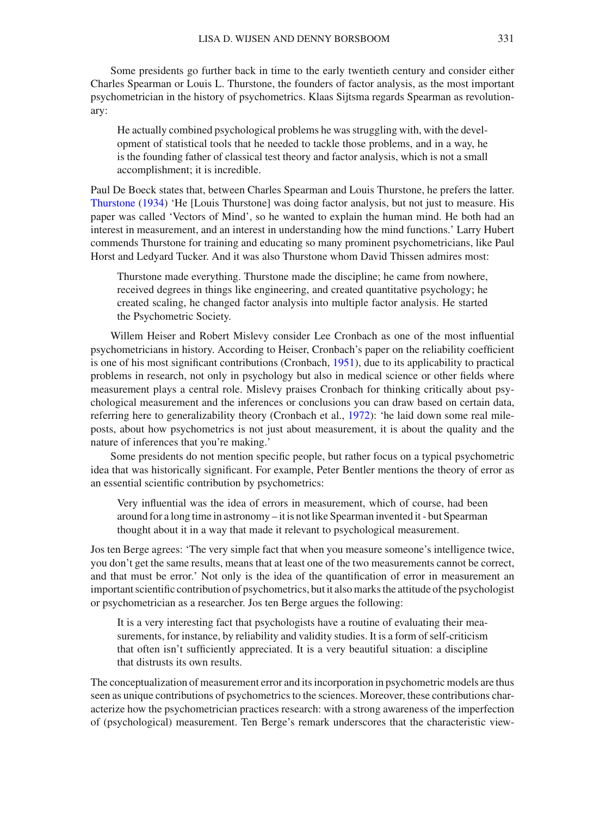Some presidents go further back in time to the early twentieth century and consider either Charles Spearman or Louis L. Thurstone, the founders of factor analysis, as the most important psychometrician in the history of psychometrics. Klaas Sijtsma regards Spearman as revolutionary:

He actually combined psychological problems he was struggling with, with the development of statistical tools that he needed to tackle those problems, and in a way, he is the founding father of classical test theory and factor analysis, which is not a small accomplishment; it is incredible.

Paul De Boeck states that, between Charles Spearman and Louis Thurstone, he prefers the latter. [Thurstone](#page-17-10) [\(1934](#page-17-10)) 'He [Louis Thurstone] was doing factor analysis, but not just to measure. His paper was called 'Vectors of Mind', so he wanted to explain the human mind. He both had an interest in measurement, and an interest in understanding how the mind functions.' Larry Hubert commends Thurstone for training and educating so many prominent psychometricians, like Paul Horst and Ledyard Tucker. And it was also Thurstone whom David Thissen admires most:

Thurstone made everything. Thurstone made the discipline; he came from nowhere, received degrees in things like engineering, and created quantitative psychology; he created scaling, he changed factor analysis into multiple factor analysis. He started the Psychometric Society.

Willem Heiser and Robert Mislevy consider Lee Cronbach as one of the most influential psychometricians in history. According to Heiser, Cronbach's paper on the reliability coefficient is one of his most significant contributions (Cronbach, [1951](#page-16-9)), due to its applicability to practical problems in research, not only in psychology but also in medical science or other fields where measurement plays a central role. Mislevy praises Cronbach for thinking critically about psychological measurement and the inferences or conclusions you can draw based on certain data, referring here to generalizability theory (Cronbach et al., [1972](#page-16-10)): 'he laid down some real mileposts, about how psychometrics is not just about measurement, it is about the quality and the nature of inferences that you're making.'

Some presidents do not mention specific people, but rather focus on a typical psychometric idea that was historically significant. For example, Peter Bentler mentions the theory of error as an essential scientific contribution by psychometrics:

Very influential was the idea of errors in measurement, which of course, had been around for a long time in astronomy – it is not like Spearman invented it - but Spearman thought about it in a way that made it relevant to psychological measurement.

Jos ten Berge agrees: 'The very simple fact that when you measure someone's intelligence twice, you don't get the same results, means that at least one of the two measurements cannot be correct, and that must be error.' Not only is the idea of the quantification of error in measurement an important scientific contribution of psychometrics, but it also marks the attitude of the psychologist or psychometrician as a researcher. Jos ten Berge argues the following:

It is a very interesting fact that psychologists have a routine of evaluating their measurements, for instance, by reliability and validity studies. It is a form of self-criticism that often isn't sufficiently appreciated. It is a very beautiful situation: a discipline that distrusts its own results.

The conceptualization of measurement error and its incorporation in psychometric models are thus seen as unique contributions of psychometrics to the sciences. Moreover, these contributions characterize how the psychometrician practices research: with a strong awareness of the imperfection of (psychological) measurement. Ten Berge's remark underscores that the characteristic view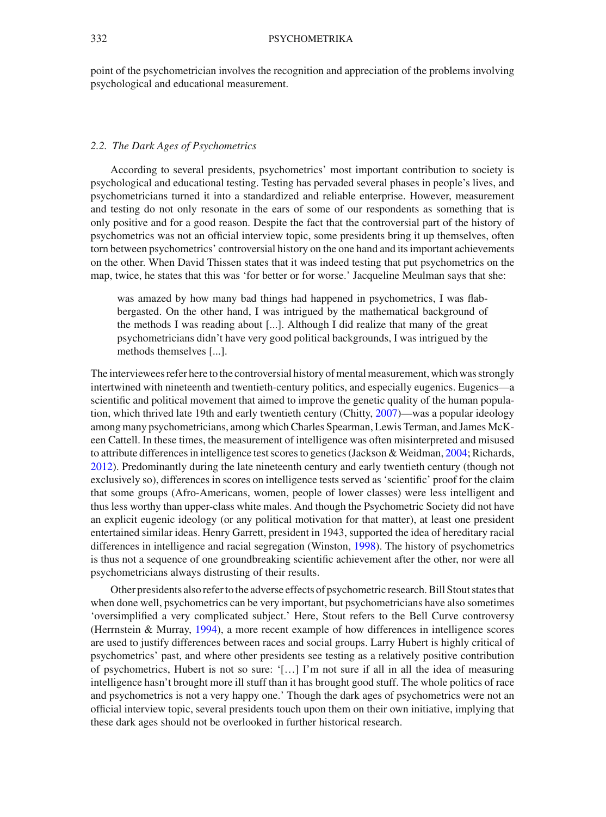point of the psychometrician involves the recognition and appreciation of the problems involving psychological and educational measurement.

#### <span id="page-6-0"></span>*2.2. The Dark Ages of Psychometrics*

According to several presidents, psychometrics' most important contribution to society is psychological and educational testing. Testing has pervaded several phases in people's lives, and psychometricians turned it into a standardized and reliable enterprise. However, measurement and testing do not only resonate in the ears of some of our respondents as something that is only positive and for a good reason. Despite the fact that the controversial part of the history of psychometrics was not an official interview topic, some presidents bring it up themselves, often torn between psychometrics' controversial history on the one hand and its important achievements on the other. When David Thissen states that it was indeed testing that put psychometrics on the map, twice, he states that this was 'for better or for worse.' Jacqueline Meulman says that she:

was amazed by how many bad things had happened in psychometrics, I was flabbergasted. On the other hand, I was intrigued by the mathematical background of the methods I was reading about [...]. Although I did realize that many of the great psychometricians didn't have very good political backgrounds, I was intrigued by the methods themselves [...].

The interviewees refer here to the controversial history of mental measurement, which was strongly intertwined with nineteenth and twentieth-century politics, and especially eugenics. Eugenics—a scientific and political movement that aimed to improve the genetic quality of the human population, which thrived late 19th and early twentieth century (Chitty, [2007](#page-16-11))—was a popular ideology among many psychometricians, among which Charles Spearman, Lewis Terman, and James McKeen Cattell. In these times, the measurement of intelligence was often misinterpreted and misused to attribute differences in intelligence test scores to genetics (Jackson & Weidman, [2004](#page-16-12); Richards, [2012\)](#page-17-11). Predominantly during the late nineteenth century and early twentieth century (though not exclusively so), differences in scores on intelligence tests served as 'scientific' proof for the claim that some groups (Afro-Americans, women, people of lower classes) were less intelligent and thus less worthy than upper-class white males. And though the Psychometric Society did not have an explicit eugenic ideology (or any political motivation for that matter), at least one president entertained similar ideas. Henry Garrett, president in 1943, supported the idea of hereditary racial differences in intelligence and racial segregation (Winston, [1998](#page-17-12)). The history of psychometrics is thus not a sequence of one groundbreaking scientific achievement after the other, nor were all psychometricians always distrusting of their results.

Other presidents also refer to the adverse effects of psychometric research. Bill Stout states that when done well, psychometrics can be very important, but psychometricians have also sometimes 'oversimplified a very complicated subject.' Here, Stout refers to the Bell Curve controversy (Herrnstein & Murray, [1994](#page-16-13)), a more recent example of how differences in intelligence scores are used to justify differences between races and social groups. Larry Hubert is highly critical of psychometrics' past, and where other presidents see testing as a relatively positive contribution of psychometrics, Hubert is not so sure: '[...] I'm not sure if all in all the idea of measuring intelligence hasn't brought more ill stuff than it has brought good stuff. The whole politics of race and psychometrics is not a very happy one.' Though the dark ages of psychometrics were not an official interview topic, several presidents touch upon them on their own initiative, implying that these dark ages should not be overlooked in further historical research.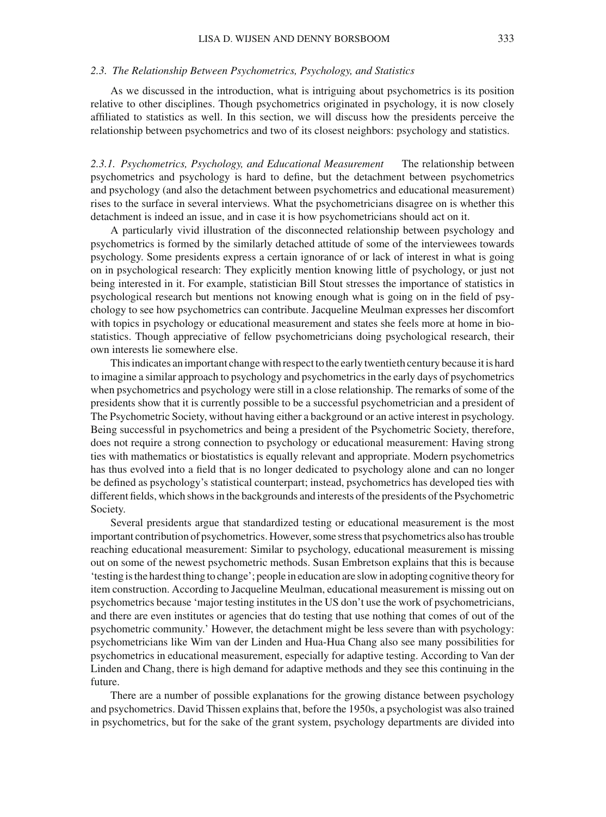#### *2.3. The Relationship Between Psychometrics, Psychology, and Statistics*

As we discussed in the introduction, what is intriguing about psychometrics is its position relative to other disciplines. Though psychometrics originated in psychology, it is now closely affiliated to statistics as well. In this section, we will discuss how the presidents perceive the relationship between psychometrics and two of its closest neighbors: psychology and statistics.

*2.3.1. Psychometrics, Psychology, and Educational Measurement* The relationship between psychometrics and psychology is hard to define, but the detachment between psychometrics and psychology (and also the detachment between psychometrics and educational measurement) rises to the surface in several interviews. What the psychometricians disagree on is whether this detachment is indeed an issue, and in case it is how psychometricians should act on it.

A particularly vivid illustration of the disconnected relationship between psychology and psychometrics is formed by the similarly detached attitude of some of the interviewees towards psychology. Some presidents express a certain ignorance of or lack of interest in what is going on in psychological research: They explicitly mention knowing little of psychology, or just not being interested in it. For example, statistician Bill Stout stresses the importance of statistics in psychological research but mentions not knowing enough what is going on in the field of psychology to see how psychometrics can contribute. Jacqueline Meulman expresses her discomfort with topics in psychology or educational measurement and states she feels more at home in biostatistics. Though appreciative of fellow psychometricians doing psychological research, their own interests lie somewhere else.

This indicates an important change with respect to the early twentieth century because it is hard to imagine a similar approach to psychology and psychometrics in the early days of psychometrics when psychometrics and psychology were still in a close relationship. The remarks of some of the presidents show that it is currently possible to be a successful psychometrician and a president of The Psychometric Society, without having either a background or an active interest in psychology. Being successful in psychometrics and being a president of the Psychometric Society, therefore, does not require a strong connection to psychology or educational measurement: Having strong ties with mathematics or biostatistics is equally relevant and appropriate. Modern psychometrics has thus evolved into a field that is no longer dedicated to psychology alone and can no longer be defined as psychology's statistical counterpart; instead, psychometrics has developed ties with different fields, which shows in the backgrounds and interests of the presidents of the Psychometric Society.

Several presidents argue that standardized testing or educational measurement is the most important contribution of psychometrics. However, some stress that psychometrics also has trouble reaching educational measurement: Similar to psychology, educational measurement is missing out on some of the newest psychometric methods. Susan Embretson explains that this is because 'testing is the hardest thing to change'; people in education are slow in adopting cognitive theory for item construction. According to Jacqueline Meulman, educational measurement is missing out on psychometrics because 'major testing institutes in the US don't use the work of psychometricians, and there are even institutes or agencies that do testing that use nothing that comes of out of the psychometric community.' However, the detachment might be less severe than with psychology: psychometricians like Wim van der Linden and Hua-Hua Chang also see many possibilities for psychometrics in educational measurement, especially for adaptive testing. According to Van der Linden and Chang, there is high demand for adaptive methods and they see this continuing in the future.

There are a number of possible explanations for the growing distance between psychology and psychometrics. David Thissen explains that, before the 1950s, a psychologist was also trained in psychometrics, but for the sake of the grant system, psychology departments are divided into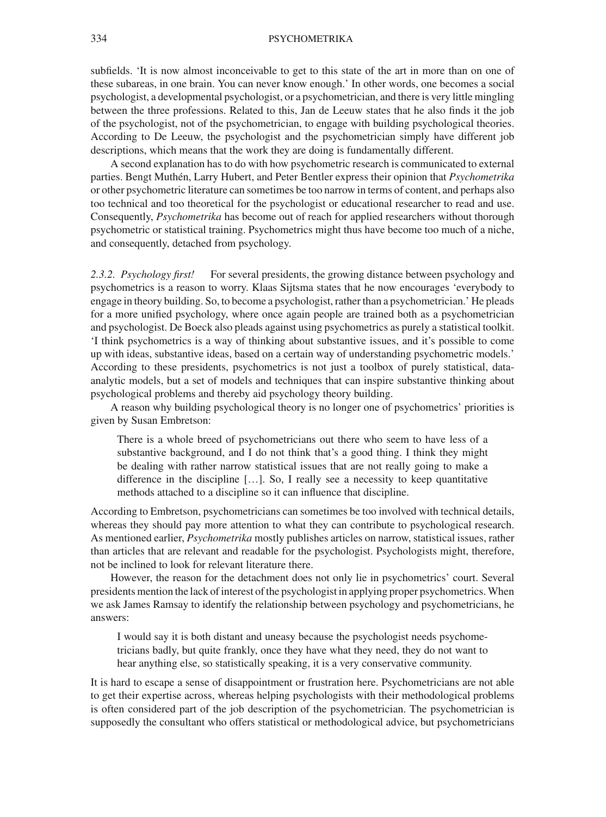subfields. 'It is now almost inconceivable to get to this state of the art in more than on one of these subareas, in one brain. You can never know enough.' In other words, one becomes a social psychologist, a developmental psychologist, or a psychometrician, and there is very little mingling between the three professions. Related to this, Jan de Leeuw states that he also finds it the job of the psychologist, not of the psychometrician, to engage with building psychological theories. According to De Leeuw, the psychologist and the psychometrician simply have different job descriptions, which means that the work they are doing is fundamentally different.

A second explanation has to do with how psychometric research is communicated to external parties. Bengt Muthén, Larry Hubert, and Peter Bentler express their opinion that *Psychometrika* or other psychometric literature can sometimes be too narrow in terms of content, and perhaps also too technical and too theoretical for the psychologist or educational researcher to read and use. Consequently, *Psychometrika* has become out of reach for applied researchers without thorough psychometric or statistical training. Psychometrics might thus have become too much of a niche, and consequently, detached from psychology.

*2.3.2. Psychology first!* For several presidents, the growing distance between psychology and psychometrics is a reason to worry. Klaas Sijtsma states that he now encourages 'everybody to engage in theory building. So, to become a psychologist, rather than a psychometrician.' He pleads for a more unified psychology, where once again people are trained both as a psychometrician and psychologist. De Boeck also pleads against using psychometrics as purely a statistical toolkit. 'I think psychometrics is a way of thinking about substantive issues, and it's possible to come up with ideas, substantive ideas, based on a certain way of understanding psychometric models.' According to these presidents, psychometrics is not just a toolbox of purely statistical, dataanalytic models, but a set of models and techniques that can inspire substantive thinking about psychological problems and thereby aid psychology theory building.

A reason why building psychological theory is no longer one of psychometrics' priorities is given by Susan Embretson:

There is a whole breed of psychometricians out there who seem to have less of a substantive background, and I do not think that's a good thing. I think they might be dealing with rather narrow statistical issues that are not really going to make a difference in the discipline […]. So, I really see a necessity to keep quantitative methods attached to a discipline so it can influence that discipline.

According to Embretson, psychometricians can sometimes be too involved with technical details, whereas they should pay more attention to what they can contribute to psychological research. As mentioned earlier, *Psychometrika* mostly publishes articles on narrow, statistical issues, rather than articles that are relevant and readable for the psychologist. Psychologists might, therefore, not be inclined to look for relevant literature there.

However, the reason for the detachment does not only lie in psychometrics' court. Several presidents mention the lack of interest of the psychologist in applying proper psychometrics.When we ask James Ramsay to identify the relationship between psychology and psychometricians, he answers:

I would say it is both distant and uneasy because the psychologist needs psychometricians badly, but quite frankly, once they have what they need, they do not want to hear anything else, so statistically speaking, it is a very conservative community.

It is hard to escape a sense of disappointment or frustration here. Psychometricians are not able to get their expertise across, whereas helping psychologists with their methodological problems is often considered part of the job description of the psychometrician. The psychometrician is supposedly the consultant who offers statistical or methodological advice, but psychometricians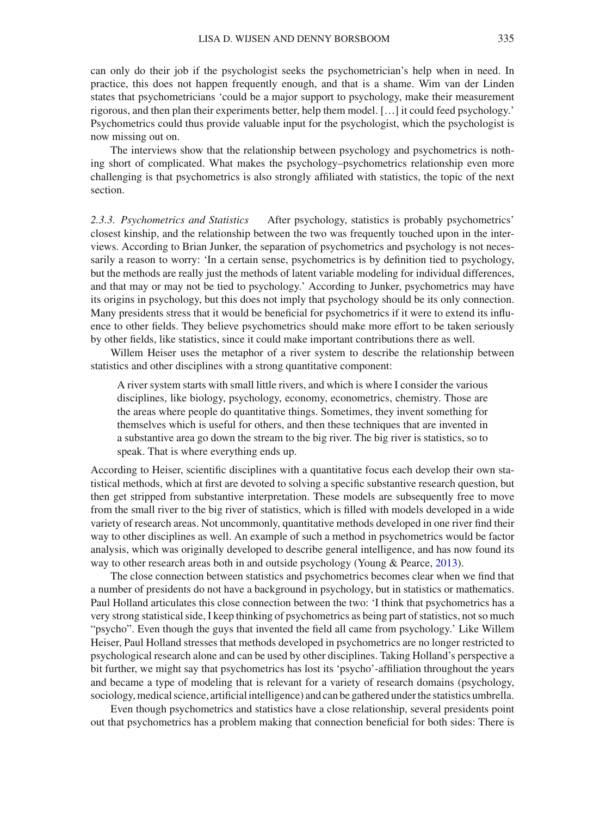can only do their job if the psychologist seeks the psychometrician's help when in need. In practice, this does not happen frequently enough, and that is a shame. Wim van der Linden states that psychometricians 'could be a major support to psychology, make their measurement rigorous, and then plan their experiments better, help them model. […] it could feed psychology.' Psychometrics could thus provide valuable input for the psychologist, which the psychologist is now missing out on.

The interviews show that the relationship between psychology and psychometrics is nothing short of complicated. What makes the psychology–psychometrics relationship even more challenging is that psychometrics is also strongly affiliated with statistics, the topic of the next section.

*2.3.3. Psychometrics and Statistics* After psychology, statistics is probably psychometrics' closest kinship, and the relationship between the two was frequently touched upon in the interviews. According to Brian Junker, the separation of psychometrics and psychology is not necessarily a reason to worry: 'In a certain sense, psychometrics is by definition tied to psychology, but the methods are really just the methods of latent variable modeling for individual differences, and that may or may not be tied to psychology.' According to Junker, psychometrics may have its origins in psychology, but this does not imply that psychology should be its only connection. Many presidents stress that it would be beneficial for psychometrics if it were to extend its influence to other fields. They believe psychometrics should make more effort to be taken seriously by other fields, like statistics, since it could make important contributions there as well.

Willem Heiser uses the metaphor of a river system to describe the relationship between statistics and other disciplines with a strong quantitative component:

A river system starts with small little rivers, and which is where I consider the various disciplines, like biology, psychology, economy, econometrics, chemistry. Those are the areas where people do quantitative things. Sometimes, they invent something for themselves which is useful for others, and then these techniques that are invented in a substantive area go down the stream to the big river. The big river is statistics, so to speak. That is where everything ends up.

According to Heiser, scientific disciplines with a quantitative focus each develop their own statistical methods, which at first are devoted to solving a specific substantive research question, but then get stripped from substantive interpretation. These models are subsequently free to move from the small river to the big river of statistics, which is filled with models developed in a wide variety of research areas. Not uncommonly, quantitative methods developed in one river find their way to other disciplines as well. An example of such a method in psychometrics would be factor analysis, which was originally developed to describe general intelligence, and has now found its way to other research areas both in and outside psychology (Young & Pearce, [2013](#page-17-13)).

The close connection between statistics and psychometrics becomes clear when we find that a number of presidents do not have a background in psychology, but in statistics or mathematics. Paul Holland articulates this close connection between the two: 'I think that psychometrics has a very strong statistical side, I keep thinking of psychometrics as being part of statistics, not so much "psycho". Even though the guys that invented the field all came from psychology.' Like Willem Heiser, Paul Holland stresses that methods developed in psychometrics are no longer restricted to psychological research alone and can be used by other disciplines. Taking Holland's perspective a bit further, we might say that psychometrics has lost its 'psycho'-affiliation throughout the years and became a type of modeling that is relevant for a variety of research domains (psychology, sociology, medical science, artificial intelligence) and can be gathered under the statistics umbrella.

Even though psychometrics and statistics have a close relationship, several presidents point out that psychometrics has a problem making that connection beneficial for both sides: There is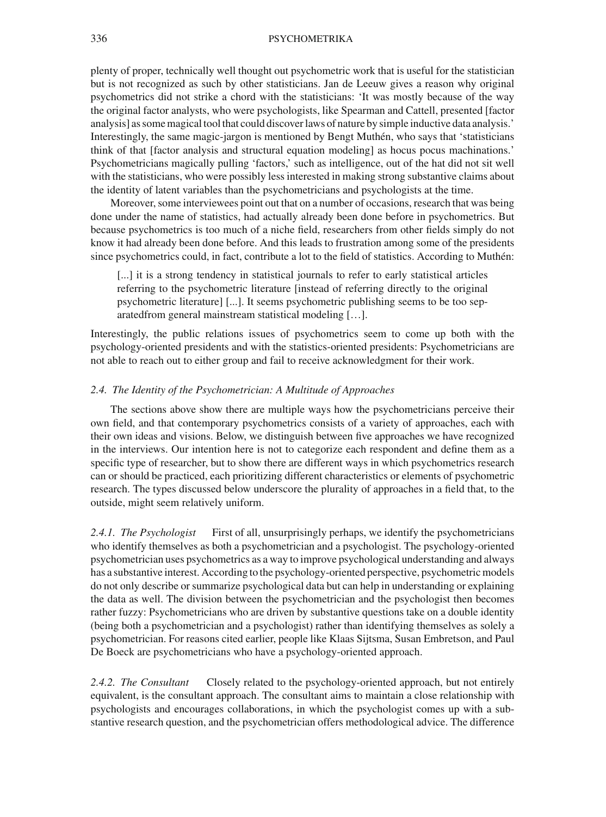plenty of proper, technically well thought out psychometric work that is useful for the statistician but is not recognized as such by other statisticians. Jan de Leeuw gives a reason why original psychometrics did not strike a chord with the statisticians: 'It was mostly because of the way the original factor analysts, who were psychologists, like Spearman and Cattell, presented [factor analysis] as some magical tool that could discover laws of nature by simple inductive data analysis.' Interestingly, the same magic-jargon is mentioned by Bengt Muthén, who says that 'statisticians think of that [factor analysis and structural equation modeling] as hocus pocus machinations.' Psychometricians magically pulling 'factors,' such as intelligence, out of the hat did not sit well with the statisticians, who were possibly less interested in making strong substantive claims about the identity of latent variables than the psychometricians and psychologists at the time.

Moreover, some interviewees point out that on a number of occasions, research that was being done under the name of statistics, had actually already been done before in psychometrics. But because psychometrics is too much of a niche field, researchers from other fields simply do not know it had already been done before. And this leads to frustration among some of the presidents since psychometrics could, in fact, contribute a lot to the field of statistics. According to Muthén:

[...] it is a strong tendency in statistical journals to refer to early statistical articles referring to the psychometric literature [instead of referring directly to the original psychometric literature] [...]. It seems psychometric publishing seems to be too separatedfrom general mainstream statistical modeling […].

Interestingly, the public relations issues of psychometrics seem to come up both with the psychology-oriented presidents and with the statistics-oriented presidents: Psychometricians are not able to reach out to either group and fail to receive acknowledgment for their work.

#### *2.4. The Identity of the Psychometrician: A Multitude of Approaches*

The sections above show there are multiple ways how the psychometricians perceive their own field, and that contemporary psychometrics consists of a variety of approaches, each with their own ideas and visions. Below, we distinguish between five approaches we have recognized in the interviews. Our intention here is not to categorize each respondent and define them as a specific type of researcher, but to show there are different ways in which psychometrics research can or should be practiced, each prioritizing different characteristics or elements of psychometric research. The types discussed below underscore the plurality of approaches in a field that, to the outside, might seem relatively uniform.

*2.4.1. The Psychologist* First of all, unsurprisingly perhaps, we identify the psychometricians who identify themselves as both a psychometrician and a psychologist. The psychology-oriented psychometrician uses psychometrics as a way to improve psychological understanding and always has a substantive interest. According to the psychology-oriented perspective, psychometric models do not only describe or summarize psychological data but can help in understanding or explaining the data as well. The division between the psychometrician and the psychologist then becomes rather fuzzy: Psychometricians who are driven by substantive questions take on a double identity (being both a psychometrician and a psychologist) rather than identifying themselves as solely a psychometrician. For reasons cited earlier, people like Klaas Sijtsma, Susan Embretson, and Paul De Boeck are psychometricians who have a psychology-oriented approach.

*2.4.2. The Consultant* Closely related to the psychology-oriented approach, but not entirely equivalent, is the consultant approach. The consultant aims to maintain a close relationship with psychologists and encourages collaborations, in which the psychologist comes up with a substantive research question, and the psychometrician offers methodological advice. The difference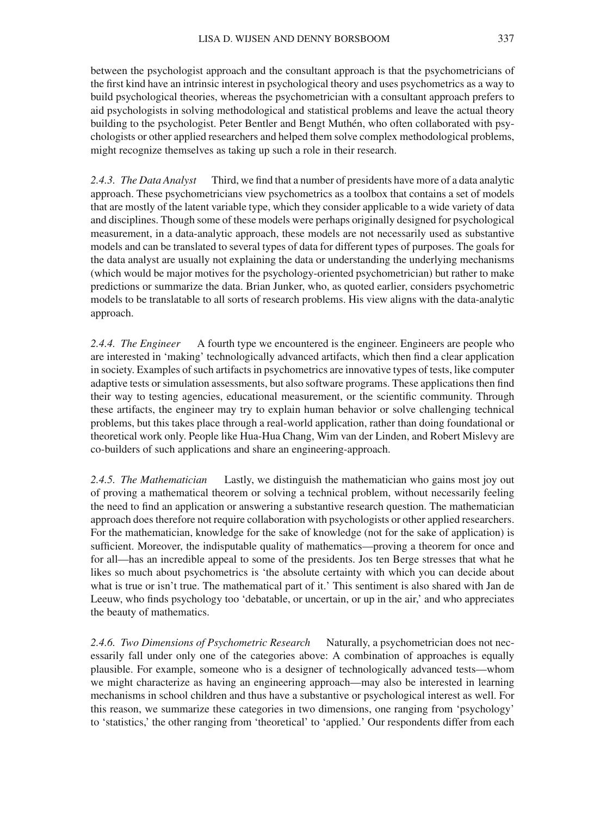between the psychologist approach and the consultant approach is that the psychometricians of the first kind have an intrinsic interest in psychological theory and uses psychometrics as a way to build psychological theories, whereas the psychometrician with a consultant approach prefers to aid psychologists in solving methodological and statistical problems and leave the actual theory building to the psychologist. Peter Bentler and Bengt Muthén, who often collaborated with psychologists or other applied researchers and helped them solve complex methodological problems, might recognize themselves as taking up such a role in their research.

*2.4.3. The Data Analyst* Third, we find that a number of presidents have more of a data analytic approach. These psychometricians view psychometrics as a toolbox that contains a set of models that are mostly of the latent variable type, which they consider applicable to a wide variety of data and disciplines. Though some of these models were perhaps originally designed for psychological measurement, in a data-analytic approach, these models are not necessarily used as substantive models and can be translated to several types of data for different types of purposes. The goals for the data analyst are usually not explaining the data or understanding the underlying mechanisms (which would be major motives for the psychology-oriented psychometrician) but rather to make predictions or summarize the data. Brian Junker, who, as quoted earlier, considers psychometric models to be translatable to all sorts of research problems. His view aligns with the data-analytic approach.

*2.4.4. The Engineer* A fourth type we encountered is the engineer. Engineers are people who are interested in 'making' technologically advanced artifacts, which then find a clear application in society. Examples of such artifacts in psychometrics are innovative types of tests, like computer adaptive tests or simulation assessments, but also software programs. These applications then find their way to testing agencies, educational measurement, or the scientific community. Through these artifacts, the engineer may try to explain human behavior or solve challenging technical problems, but this takes place through a real-world application, rather than doing foundational or theoretical work only. People like Hua-Hua Chang, Wim van der Linden, and Robert Mislevy are co-builders of such applications and share an engineering-approach.

*2.4.5. The Mathematician* Lastly, we distinguish the mathematician who gains most joy out of proving a mathematical theorem or solving a technical problem, without necessarily feeling the need to find an application or answering a substantive research question. The mathematician approach does therefore not require collaboration with psychologists or other applied researchers. For the mathematician, knowledge for the sake of knowledge (not for the sake of application) is sufficient. Moreover, the indisputable quality of mathematics—proving a theorem for once and for all—has an incredible appeal to some of the presidents. Jos ten Berge stresses that what he likes so much about psychometrics is 'the absolute certainty with which you can decide about what is true or isn't true. The mathematical part of it.' This sentiment is also shared with Jan de Leeuw, who finds psychology too 'debatable, or uncertain, or up in the air,' and who appreciates the beauty of mathematics.

*2.4.6. Two Dimensions of Psychometric Research* Naturally, a psychometrician does not necessarily fall under only one of the categories above: A combination of approaches is equally plausible. For example, someone who is a designer of technologically advanced tests—whom we might characterize as having an engineering approach—may also be interested in learning mechanisms in school children and thus have a substantive or psychological interest as well. For this reason, we summarize these categories in two dimensions, one ranging from 'psychology' to 'statistics,' the other ranging from 'theoretical' to 'applied.' Our respondents differ from each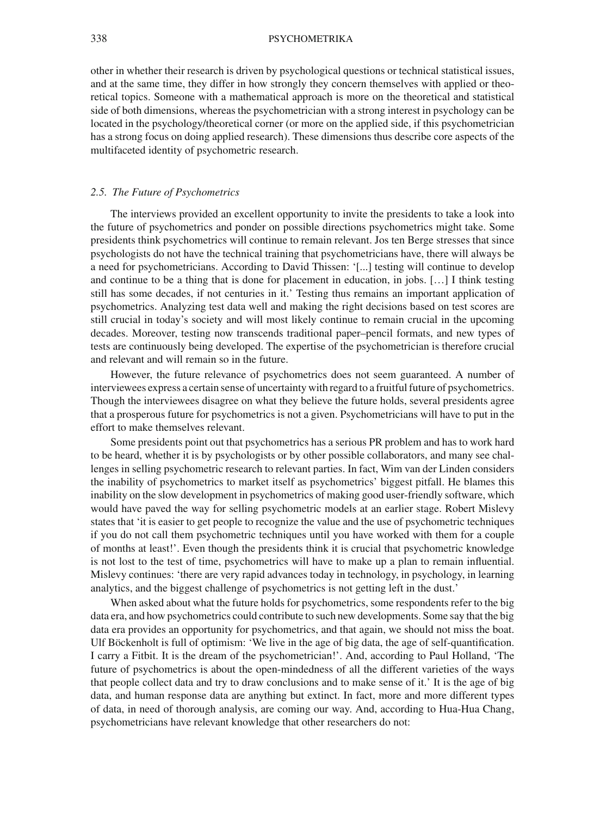other in whether their research is driven by psychological questions or technical statistical issues, and at the same time, they differ in how strongly they concern themselves with applied or theoretical topics. Someone with a mathematical approach is more on the theoretical and statistical side of both dimensions, whereas the psychometrician with a strong interest in psychology can be located in the psychology/theoretical corner (or more on the applied side, if this psychometrician has a strong focus on doing applied research). These dimensions thus describe core aspects of the multifaceted identity of psychometric research.

#### *2.5. The Future of Psychometrics*

The interviews provided an excellent opportunity to invite the presidents to take a look into the future of psychometrics and ponder on possible directions psychometrics might take. Some presidents think psychometrics will continue to remain relevant. Jos ten Berge stresses that since psychologists do not have the technical training that psychometricians have, there will always be a need for psychometricians. According to David Thissen: '[...] testing will continue to develop and continue to be a thing that is done for placement in education, in jobs. […] I think testing still has some decades, if not centuries in it.' Testing thus remains an important application of psychometrics. Analyzing test data well and making the right decisions based on test scores are still crucial in today's society and will most likely continue to remain crucial in the upcoming decades. Moreover, testing now transcends traditional paper–pencil formats, and new types of tests are continuously being developed. The expertise of the psychometrician is therefore crucial and relevant and will remain so in the future.

However, the future relevance of psychometrics does not seem guaranteed. A number of interviewees express a certain sense of uncertainty with regard to a fruitful future of psychometrics. Though the interviewees disagree on what they believe the future holds, several presidents agree that a prosperous future for psychometrics is not a given. Psychometricians will have to put in the effort to make themselves relevant.

Some presidents point out that psychometrics has a serious PR problem and has to work hard to be heard, whether it is by psychologists or by other possible collaborators, and many see challenges in selling psychometric research to relevant parties. In fact, Wim van der Linden considers the inability of psychometrics to market itself as psychometrics' biggest pitfall. He blames this inability on the slow development in psychometrics of making good user-friendly software, which would have paved the way for selling psychometric models at an earlier stage. Robert Mislevy states that 'it is easier to get people to recognize the value and the use of psychometric techniques if you do not call them psychometric techniques until you have worked with them for a couple of months at least!'. Even though the presidents think it is crucial that psychometric knowledge is not lost to the test of time, psychometrics will have to make up a plan to remain influential. Mislevy continues: 'there are very rapid advances today in technology, in psychology, in learning analytics, and the biggest challenge of psychometrics is not getting left in the dust.'

When asked about what the future holds for psychometrics, some respondents refer to the big data era, and how psychometrics could contribute to such new developments. Some say that the big data era provides an opportunity for psychometrics, and that again, we should not miss the boat. Ulf Böckenholt is full of optimism: 'We live in the age of big data, the age of self-quantification. I carry a Fitbit. It is the dream of the psychometrician!'. And, according to Paul Holland, 'The future of psychometrics is about the open-mindedness of all the different varieties of the ways that people collect data and try to draw conclusions and to make sense of it.' It is the age of big data, and human response data are anything but extinct. In fact, more and more different types of data, in need of thorough analysis, are coming our way. And, according to Hua-Hua Chang, psychometricians have relevant knowledge that other researchers do not: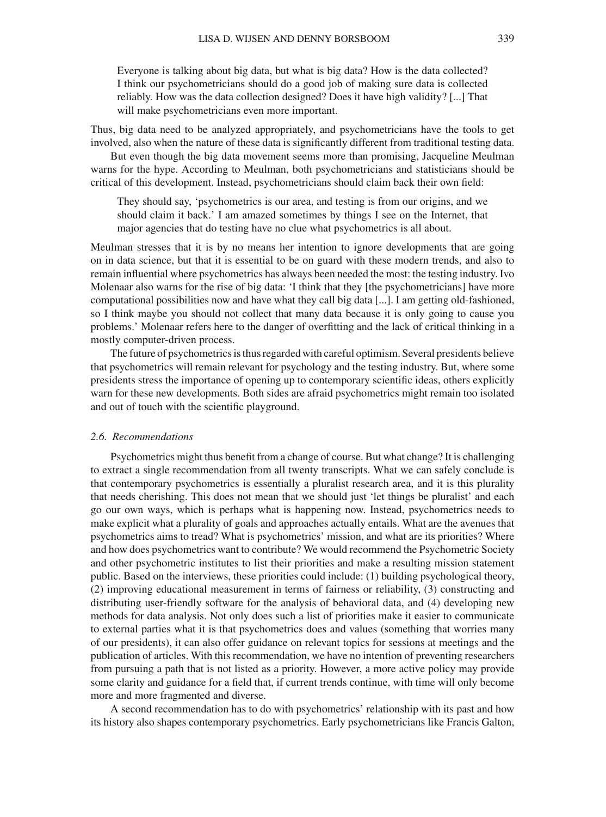Everyone is talking about big data, but what is big data? How is the data collected? I think our psychometricians should do a good job of making sure data is collected reliably. How was the data collection designed? Does it have high validity? [...] That will make psychometricians even more important.

Thus, big data need to be analyzed appropriately, and psychometricians have the tools to get involved, also when the nature of these data is significantly different from traditional testing data.

But even though the big data movement seems more than promising, Jacqueline Meulman warns for the hype. According to Meulman, both psychometricians and statisticians should be critical of this development. Instead, psychometricians should claim back their own field:

They should say, 'psychometrics is our area, and testing is from our origins, and we should claim it back.' I am amazed sometimes by things I see on the Internet, that major agencies that do testing have no clue what psychometrics is all about.

Meulman stresses that it is by no means her intention to ignore developments that are going on in data science, but that it is essential to be on guard with these modern trends, and also to remain influential where psychometrics has always been needed the most: the testing industry. Ivo Molenaar also warns for the rise of big data: 'I think that they [the psychometricians] have more computational possibilities now and have what they call big data [...]. I am getting old-fashioned, so I think maybe you should not collect that many data because it is only going to cause you problems.' Molenaar refers here to the danger of overfitting and the lack of critical thinking in a mostly computer-driven process.

The future of psychometrics is thus regarded with careful optimism. Several presidents believe that psychometrics will remain relevant for psychology and the testing industry. But, where some presidents stress the importance of opening up to contemporary scientific ideas, others explicitly warn for these new developments. Both sides are afraid psychometrics might remain too isolated and out of touch with the scientific playground.

#### *2.6. Recommendations*

Psychometrics might thus benefit from a change of course. But what change? It is challenging to extract a single recommendation from all twenty transcripts. What we can safely conclude is that contemporary psychometrics is essentially a pluralist research area, and it is this plurality that needs cherishing. This does not mean that we should just 'let things be pluralist' and each go our own ways, which is perhaps what is happening now. Instead, psychometrics needs to make explicit what a plurality of goals and approaches actually entails. What are the avenues that psychometrics aims to tread? What is psychometrics' mission, and what are its priorities? Where and how does psychometrics want to contribute? We would recommend the Psychometric Society and other psychometric institutes to list their priorities and make a resulting mission statement public. Based on the interviews, these priorities could include: (1) building psychological theory, (2) improving educational measurement in terms of fairness or reliability, (3) constructing and distributing user-friendly software for the analysis of behavioral data, and (4) developing new methods for data analysis. Not only does such a list of priorities make it easier to communicate to external parties what it is that psychometrics does and values (something that worries many of our presidents), it can also offer guidance on relevant topics for sessions at meetings and the publication of articles. With this recommendation, we have no intention of preventing researchers from pursuing a path that is not listed as a priority. However, a more active policy may provide some clarity and guidance for a field that, if current trends continue, with time will only become more and more fragmented and diverse.

A second recommendation has to do with psychometrics' relationship with its past and how its history also shapes contemporary psychometrics. Early psychometricians like Francis Galton,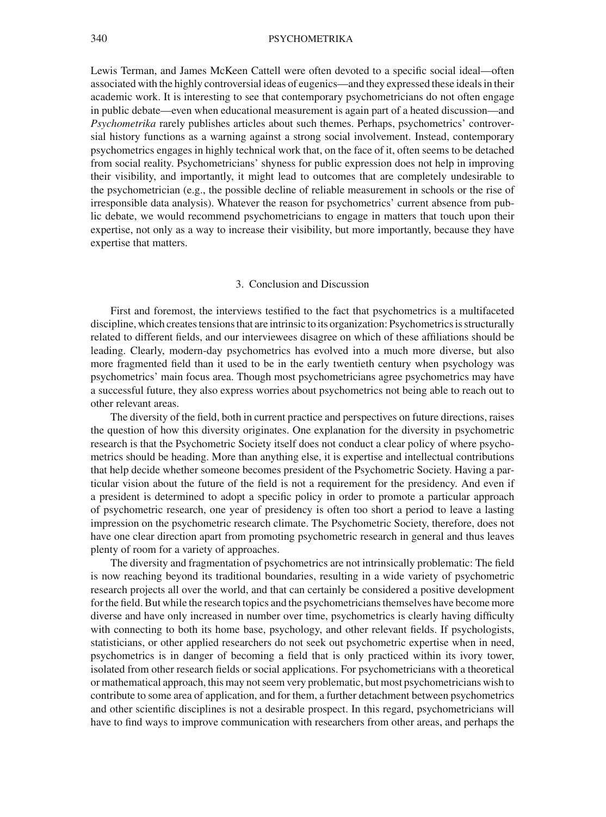Lewis Terman, and James McKeen Cattell were often devoted to a specific social ideal—often associated with the highly controversial ideas of eugenics—and they expressed these ideals in their academic work. It is interesting to see that contemporary psychometricians do not often engage in public debate—even when educational measurement is again part of a heated discussion—and *Psychometrika* rarely publishes articles about such themes. Perhaps, psychometrics' controversial history functions as a warning against a strong social involvement. Instead, contemporary psychometrics engages in highly technical work that, on the face of it, often seems to be detached from social reality. Psychometricians' shyness for public expression does not help in improving their visibility, and importantly, it might lead to outcomes that are completely undesirable to the psychometrician (e.g., the possible decline of reliable measurement in schools or the rise of irresponsible data analysis). Whatever the reason for psychometrics' current absence from public debate, we would recommend psychometricians to engage in matters that touch upon their expertise, not only as a way to increase their visibility, but more importantly, because they have expertise that matters.

#### 3. Conclusion and Discussion

First and foremost, the interviews testified to the fact that psychometrics is a multifaceted discipline, which creates tensions that are intrinsic to its organization: Psychometrics is structurally related to different fields, and our interviewees disagree on which of these affiliations should be leading. Clearly, modern-day psychometrics has evolved into a much more diverse, but also more fragmented field than it used to be in the early twentieth century when psychology was psychometrics' main focus area. Though most psychometricians agree psychometrics may have a successful future, they also express worries about psychometrics not being able to reach out to other relevant areas.

The diversity of the field, both in current practice and perspectives on future directions, raises the question of how this diversity originates. One explanation for the diversity in psychometric research is that the Psychometric Society itself does not conduct a clear policy of where psychometrics should be heading. More than anything else, it is expertise and intellectual contributions that help decide whether someone becomes president of the Psychometric Society. Having a particular vision about the future of the field is not a requirement for the presidency. And even if a president is determined to adopt a specific policy in order to promote a particular approach of psychometric research, one year of presidency is often too short a period to leave a lasting impression on the psychometric research climate. The Psychometric Society, therefore, does not have one clear direction apart from promoting psychometric research in general and thus leaves plenty of room for a variety of approaches.

The diversity and fragmentation of psychometrics are not intrinsically problematic: The field is now reaching beyond its traditional boundaries, resulting in a wide variety of psychometric research projects all over the world, and that can certainly be considered a positive development for the field. But while the research topics and the psychometricians themselves have become more diverse and have only increased in number over time, psychometrics is clearly having difficulty with connecting to both its home base, psychology, and other relevant fields. If psychologists, statisticians, or other applied researchers do not seek out psychometric expertise when in need, psychometrics is in danger of becoming a field that is only practiced within its ivory tower, isolated from other research fields or social applications. For psychometricians with a theoretical or mathematical approach, this may not seem very problematic, but most psychometricians wish to contribute to some area of application, and for them, a further detachment between psychometrics and other scientific disciplines is not a desirable prospect. In this regard, psychometricians will have to find ways to improve communication with researchers from other areas, and perhaps the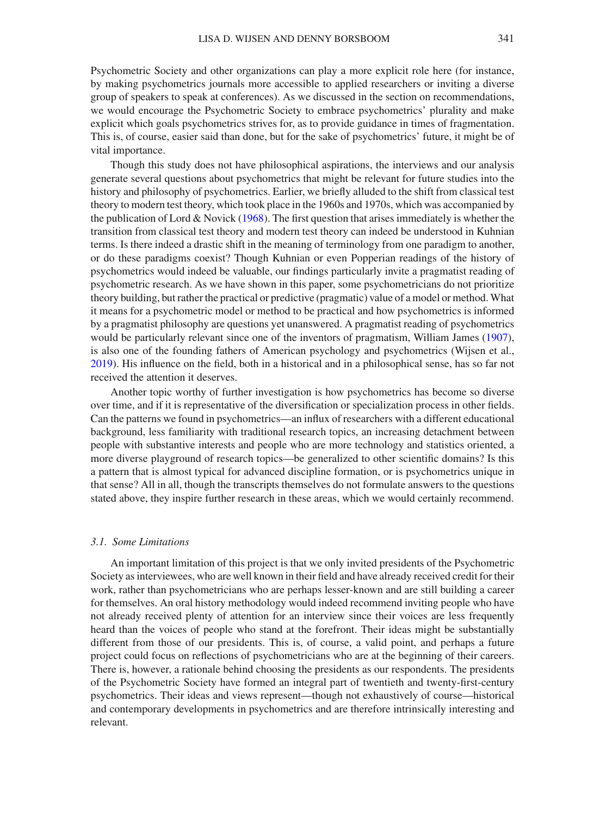Psychometric Society and other organizations can play a more explicit role here (for instance, by making psychometrics journals more accessible to applied researchers or inviting a diverse group of speakers to speak at conferences). As we discussed in the section on recommendations, we would encourage the Psychometric Society to embrace psychometrics' plurality and make explicit which goals psychometrics strives for, as to provide guidance in times of fragmentation. This is, of course, easier said than done, but for the sake of psychometrics' future, it might be of vital importance.

Though this study does not have philosophical aspirations, the interviews and our analysis generate several questions about psychometrics that might be relevant for future studies into the history and philosophy of psychometrics. Earlier, we briefly alluded to the shift from classical test theory to modern test theory, which took place in the 1960s and 1970s, which was accompanied by the publication of Lord  $& Novick (1968)$  $& Novick (1968)$  $& Novick (1968)$ . The first question that arises immediately is whether the transition from classical test theory and modern test theory can indeed be understood in Kuhnian terms. Is there indeed a drastic shift in the meaning of terminology from one paradigm to another, or do these paradigms coexist? Though Kuhnian or even Popperian readings of the history of psychometrics would indeed be valuable, our findings particularly invite a pragmatist reading of psychometric research. As we have shown in this paper, some psychometricians do not prioritize theory building, but rather the practical or predictive (pragmatic) value of a model or method. What it means for a psychometric model or method to be practical and how psychometrics is informed by a pragmatist philosophy are questions yet unanswered. A pragmatist reading of psychometrics would be particularly relevant since one of the inventors of pragmatism, William James [\(1907\)](#page-16-14), is also one of the founding fathers of American psychology and psychometrics (Wijsen et al., [2019\)](#page-17-2). His influence on the field, both in a historical and in a philosophical sense, has so far not received the attention it deserves.

Another topic worthy of further investigation is how psychometrics has become so diverse over time, and if it is representative of the diversification or specialization process in other fields. Can the patterns we found in psychometrics—an influx of researchers with a different educational background, less familiarity with traditional research topics, an increasing detachment between people with substantive interests and people who are more technology and statistics oriented, a more diverse playground of research topics—be generalized to other scientific domains? Is this a pattern that is almost typical for advanced discipline formation, or is psychometrics unique in that sense? All in all, though the transcripts themselves do not formulate answers to the questions stated above, they inspire further research in these areas, which we would certainly recommend.

#### *3.1. Some Limitations*

An important limitation of this project is that we only invited presidents of the Psychometric Society as interviewees, who are well known in their field and have already received credit for their work, rather than psychometricians who are perhaps lesser-known and are still building a career for themselves. An oral history methodology would indeed recommend inviting people who have not already received plenty of attention for an interview since their voices are less frequently heard than the voices of people who stand at the forefront. Their ideas might be substantially different from those of our presidents. This is, of course, a valid point, and perhaps a future project could focus on reflections of psychometricians who are at the beginning of their careers. There is, however, a rationale behind choosing the presidents as our respondents. The presidents of the Psychometric Society have formed an integral part of twentieth and twenty-first-century psychometrics. Their ideas and views represent—though not exhaustively of course—historical and contemporary developments in psychometrics and are therefore intrinsically interesting and relevant.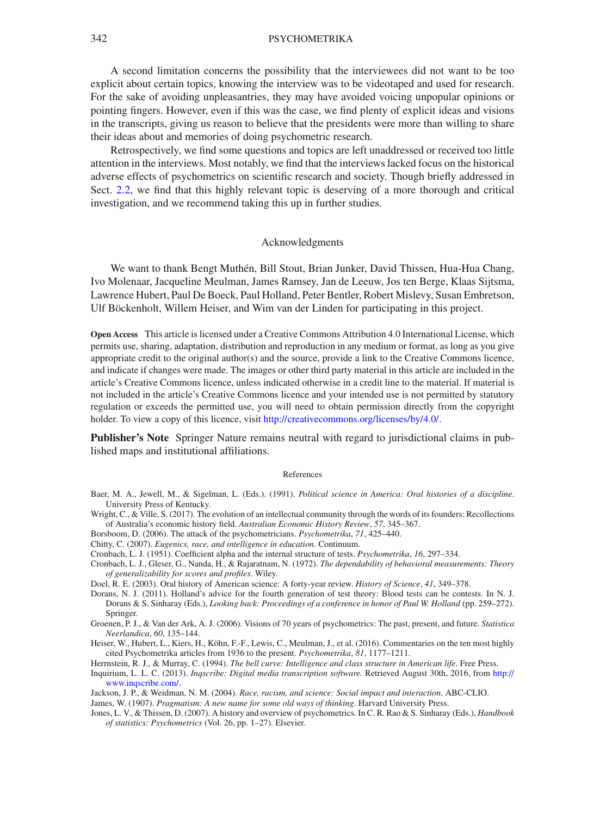A second limitation concerns the possibility that the interviewees did not want to be too explicit about certain topics, knowing the interview was to be videotaped and used for research. For the sake of avoiding unpleasantries, they may have avoided voicing unpopular opinions or pointing fingers. However, even if this was the case, we find plenty of explicit ideas and visions in the transcripts, giving us reason to believe that the presidents were more than willing to share their ideas about and memories of doing psychometric research.

Retrospectively, we find some questions and topics are left unaddressed or received too little attention in the interviews. Most notably, we find that the interviews lacked focus on the historical adverse effects of psychometrics on scientific research and society. Though briefly addressed in Sect. [2.2,](#page-6-0) we find that this highly relevant topic is deserving of a more thorough and critical investigation, and we recommend taking this up in further studies.

#### Acknowledgments

We want to thank Bengt Muthén, Bill Stout, Brian Junker, David Thissen, Hua-Hua Chang, Ivo Molenaar, Jacqueline Meulman, James Ramsey, Jan de Leeuw, Jos ten Berge, Klaas Sijtsma, Lawrence Hubert, Paul De Boeck, Paul Holland, Peter Bentler, Robert Mislevy, Susan Embretson, Ulf Böckenholt, Willem Heiser, and Wim van der Linden for participating in this project.

**Open Access** This article is licensed under a Creative Commons Attribution 4.0 International License, which permits use, sharing, adaptation, distribution and reproduction in any medium or format, as long as you give appropriate credit to the original author(s) and the source, provide a link to the Creative Commons licence, and indicate if changes were made. The images or other third party material in this article are included in the article's Creative Commons licence, unless indicated otherwise in a credit line to the material. If material is not included in the article's Creative Commons licence and your intended use is not permitted by statutory regulation or exceeds the permitted use, you will need to obtain permission directly from the copyright holder. To view a copy of this licence, visit [http://creativecommons.org/licenses/by/4.0/.](http://creativecommons.org/licenses/by/4.0/)

**Publisher's Note** Springer Nature remains neutral with regard to jurisdictional claims in published maps and institutional affiliations.

#### References

- <span id="page-16-1"></span>Baer, M. A., Jewell, M., & Sigelman, L. (Eds.). (1991). *Political science in America: Oral histories of a discipline*. University Press of Kentucky.
- <span id="page-16-3"></span>Wright, C., & Ville, S. (2017). The evolution of an intellectual community through the words of its founders: Recollections of Australia's economic history field. *Australian Economic History Review*, *57*, 345–367.
- <span id="page-16-0"></span>Borsboom, D. (2006). The attack of the psychometricians. *Psychometrika*, *71*, 425–440.
- <span id="page-16-5"></span>Chitty, C. (2007). *Eugenics, race, and intelligence in education*. Continuum.
- <span id="page-16-11"></span>Cronbach, L. J. (1951). Coefficient alpha and the internal structure of tests. *Psychometrika*, *16*, 297–334.
- <span id="page-16-9"></span>Cronbach, L. J., Gleser, G., Nanda, H., & Rajaratnam, N. (1972). *The dependability of behavioral measurements: Theory of generalizability for scores and profiles*. Wiley.
- <span id="page-16-10"></span>Doel, R. E. (2003). Oral history of American science: A forty-year review. *History of Science*, *41*, 349–378.
- <span id="page-16-2"></span>Dorans, N. J. (2011). Holland's advice for the fourth generation of test theory: Blood tests can be contests. In N. J. Dorans & S. Sinharay (Eds.), *Looking back: Proceedings of a conference in honor of Paul W. Holland* (pp. 259–272). Springer.
- <span id="page-16-7"></span>Groenen, P. J., & Van der Ark, A. J. (2006). Visions of 70 years of psychometrics: The past, present, and future. *Statistica Neerlandica*, *60*, 135–144.
- <span id="page-16-4"></span>Heiser, W., Hubert, L., Kiers, H., Köhn, F.-F., Lewis, C., Meulman, J., et al. (2016). Commentaries on the ten most highly cited Psychometrika articles from 1936 to the present. *Psychometrika*, *81*, 1177–1211.
- <span id="page-16-8"></span>Herrnstein, R. J., & Murray, C. (1994). *The bell curve: Intelligence and class structure in American life*. Free Press.
- <span id="page-16-13"></span>Inquirium, L. L. C. (2013). *Inqscribe: Digital media transcription software.* Retrieved August 30th, 2016, from [http://](http://www.inqscribe.com/) [www.inqscribe.com/.](http://www.inqscribe.com/)
- <span id="page-16-6"></span>Jackson, J. P., & Weidman, N. M. (2004). *Race, racism, and science: Social impact and interaction*. ABC-CLIO.
- <span id="page-16-12"></span>James, W. (1907). *Pragmatism: A new name for some old ways of thinking*. Harvard University Press.
- <span id="page-16-14"></span>Jones, L. V., & Thissen, D. (2007). A history and overview of psychometrics. In C. R. Rao & S. Sinharay (Eds.), *Handbook of statistics: Psychometrics* (Vol. 26, pp. 1–27). Elsevier.